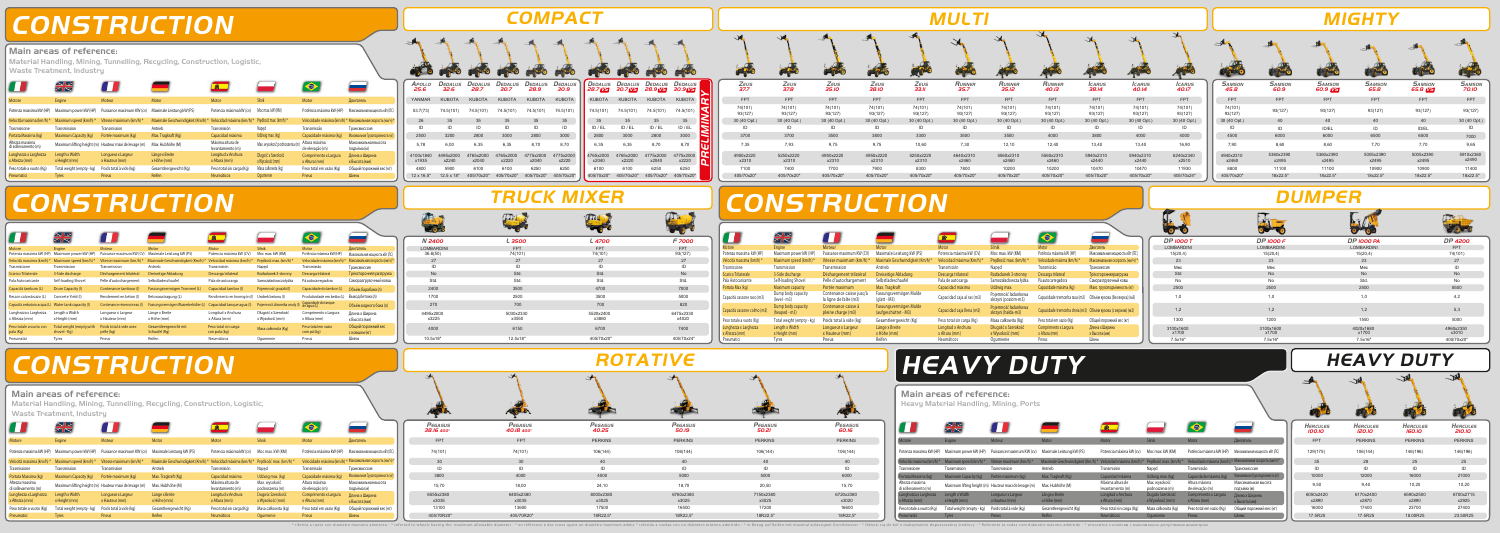# **CONSTRUCTION**

## **COMPACT**

## **TRUCK MIXER**

# **CONSTRUCTION**

## **CONSTRUCTION**

### 6100 6250 405/70x20" 6100 405/70x20"

| - 0-9              |                    |  |
|--------------------|--------------------|--|
| N 2400             | L 3500             |  |
| <b>LOMBARDINI</b>  | <b>FPT</b>         |  |
| 36.6(50)           | 74(101)            |  |
| 27                 | 27                 |  |
| ID                 | ID                 |  |
| <b>No</b>          | Std.               |  |
| Std.               | Std.               |  |
| 2400               | 3500               |  |
| 1700               | 2500               |  |
| 270                | 700                |  |
| 4495x2000<br>x3225 | 5030x2330<br>x3550 |  |
| 4000               | 6150               |  |
| 10.5x18"           | 12.5x18"           |  |

|                                         | $\sim$<br>ZN                    |                                                       |                                   |                                       |                                        |                                        |                                                           |
|-----------------------------------------|---------------------------------|-------------------------------------------------------|-----------------------------------|---------------------------------------|----------------------------------------|----------------------------------------|-----------------------------------------------------------|
| Motore                                  | Engine                          | Moteur                                                | Motor                             | Motor                                 | Silnik                                 | Motor                                  | Двигатель                                                 |
| Potenza massima kW (HP)                 | Maximum power kW (HP)           | Puissance maximum KW (cv)                             | Maximale Leistung kW (PS)         | Potencia máxima kW (cv)               | Moc max. kW (KM)                       | Potência máxima kW (HP)                | Максимальная мошность кВт (ЛС)                            |
| Velocità massima (km/h) *               | Maximum speed (km/h) *          | Vitesse maximum (km/h) *                              | Maximale Geschwindigkeit (Km/h) * | Velocidad máxima (km/h) *             | Predkość max. (km/h) *                 |                                        | Velocidade máxima (km/h) * Максимальная скорость (км/ч) * |
| Trasmissione                            | Transmission                    | Transmission                                          | Antrieb                           | Transmisión                           | Naped                                  | Transmissão                            | Трансмисссия                                              |
| Portata Massima (kg)                    | Maximum Capacity (kg)           | Portée maximum (kg)                                   | Max. Tragkraft (Kg)               | Capacidad máxima                      | Udźwig max. (kg)                       | Capacidade máxima (kg)                 | Максимальная Грузоподъёмность (кг):                       |
| Altezza massima<br>di sollevamento (m)  |                                 | Maximum lifting height (m) Hauteur maxi de levage (m) | Max. Hubhöhe (M)                  | Máxima altura de<br>levantamiento (m) | Max. wysokość podnoszenia (m)          | Altura máxima<br>de elevação (m)       | Максимальная высота<br>подъёма (м)                        |
| Lunghezza x Larghezza<br>x Altezza (mm) | Length x Width<br>x Height (mm) | Longueur x Largeur<br>x Hauteur (mm)                  | Länge x Breite<br>x Höhe (mm)     | Longitud x Anchura<br>x Altura (mm)   | Długość x Szerokość<br>x Wysokość (mm) | Comprimento x Largura<br>x Altura (mm) | Длина х Ширина<br>х Высота (мм)                           |
| Peso totale a vuoto (Kg)                | Total weight (empty - kg)       | Poids total à vide (kg)                               | Gesamtleergewicht (Kg)            | Peso total sin carga (Kg)             | Masa całkowita (kg)                    | Peso total em vazio (Kg)               | Общий порожний вес (кг)                                   |
| Pneumatici                              | <b>Tyres</b>                    | Pneus                                                 | Reifen                            | <b>Neumáticos</b>                     | Oqumienie                              | Pneus                                  | Шины                                                      |

|                                                                                                                                                                                                                                                                                                                                                                                                                                                                                                                                                                                                                                                              |                                                                                 | <b>COMPACT</b>                                                                                                                                                                                                                                                                                                                                                                                           |                                                                                                                                                                                                                                             |                                                                                                                           |                                                                                                                                                                    |                                                                                                                                                                  |                                                                                                                                                                                      |                                                                                                                                                                                                                                                                                         | <b>MULTI</b>                                                                                                                                                                                                                           |                                                                                                                                                                         |                                                                                                                                                |                                                                                                                                                                                                                       |                                                                                                                                                      |                                                                                                                                                      |                                                                                                                                                                                                                                                                      |                                                                                                                              | <b>MIGHTY</b>                                                                                            |                                                                                                                             |                                                                                                                     |
|--------------------------------------------------------------------------------------------------------------------------------------------------------------------------------------------------------------------------------------------------------------------------------------------------------------------------------------------------------------------------------------------------------------------------------------------------------------------------------------------------------------------------------------------------------------------------------------------------------------------------------------------------------------|---------------------------------------------------------------------------------|----------------------------------------------------------------------------------------------------------------------------------------------------------------------------------------------------------------------------------------------------------------------------------------------------------------------------------------------------------------------------------------------------------|---------------------------------------------------------------------------------------------------------------------------------------------------------------------------------------------------------------------------------------------|---------------------------------------------------------------------------------------------------------------------------|--------------------------------------------------------------------------------------------------------------------------------------------------------------------|------------------------------------------------------------------------------------------------------------------------------------------------------------------|--------------------------------------------------------------------------------------------------------------------------------------------------------------------------------------|-----------------------------------------------------------------------------------------------------------------------------------------------------------------------------------------------------------------------------------------------------------------------------------------|----------------------------------------------------------------------------------------------------------------------------------------------------------------------------------------------------------------------------------------|-------------------------------------------------------------------------------------------------------------------------------------------------------------------------|------------------------------------------------------------------------------------------------------------------------------------------------|-----------------------------------------------------------------------------------------------------------------------------------------------------------------------------------------------------------------------|------------------------------------------------------------------------------------------------------------------------------------------------------|------------------------------------------------------------------------------------------------------------------------------------------------------|----------------------------------------------------------------------------------------------------------------------------------------------------------------------------------------------------------------------------------------------------------------------|------------------------------------------------------------------------------------------------------------------------------|----------------------------------------------------------------------------------------------------------|-----------------------------------------------------------------------------------------------------------------------------|---------------------------------------------------------------------------------------------------------------------|
|                                                                                                                                                                                                                                                                                                                                                                                                                                                                                                                                                                                                                                                              |                                                                                 |                                                                                                                                                                                                                                                                                                                                                                                                          |                                                                                                                                                                                                                                             |                                                                                                                           | rige                                                                                                                                                               | <b>Contract</b>                                                                                                                                                  |                                                                                                                                                                                      |                                                                                                                                                                                                                                                                                         |                                                                                                                                                                                                                                        |                                                                                                                                                                         |                                                                                                                                                |                                                                                                                                                                                                                       |                                                                                                                                                      |                                                                                                                                                      |                                                                                                                                                                                                                                                                      |                                                                                                                              |                                                                                                          |                                                                                                                             |                                                                                                                     |
| $\bullet$<br><b>Read</b><br>Silnik<br>Двигатель<br>Moc max. kW (KM)<br>Potência máxima kW (HP) Максимальная мощность кВт (Л<br>Prędkość max. (km/h)<br>Velocidade máxima (km/h) * Максимальная скорость (км/ч<br>Napęd<br>Трансмисссия<br>Udźwig max. (kg)<br>Capacidade máxima (kg)<br>Максимальная Грузоподъёмность (<br>Altura máxima<br>Максимальная высота<br>Max. wysokość podnoszenia (<br>de elevação (m)<br>подъёма (м)<br>Długość x Szerokość<br>Длина х Ширина<br>"ombrimento x Larqura<br>x Wysokość (mm)<br>x Altura (mm)  <br>х Высота (мм)<br>Masa całkowita (kg)<br>Общий порожний вес (кг)<br>Peso total em vazio (Kg)<br>Oqumienie<br>Шины | 25.6<br>32.6<br>KUBOTA<br>YANMAR<br>53.7(73)<br>74.5(101)<br>5,78<br>12 x 16.5" | APOLLO DEDALUS DEDALUS DEDALUS DEDALUS DEDALUS   DEDALUS DEDALUS DEDALUS DEDALUS<br>28.9<br>30.9<br>28.7<br>30.7<br>KUBOTA<br>KUBOTA<br>KUBOTA<br>KUBOTA<br>74.5(101)<br>74.5(101)<br>74.5(101)<br>74.5(101)<br>ID<br>ID<br>ID<br>3000<br>2800<br>3000<br>2800<br>6,35<br>8,70<br>8,70<br>4775x2000 4775x2000<br>4765x2000<br>x2220<br>x2040<br>6250<br>6100<br>6250<br>405/70x20" 405/70x20" 405/70x20" | 28.7 VS 30.7 VS 28.9 VS 30.9 VS<br><b>KUBOTA</b><br>KUBOTA<br>74.5(101)<br>74.5(101)<br>ID / EL<br>ID / EL<br>ID / EL<br>2800<br>2800<br>6,35<br>8,70<br>4765x2000<br>4765x2000<br>x2040<br>x2040<br>x2220<br>6100<br>405/70x20" 405/70x20" | KUBOTA KUBOTA<br>$74.5(101)$ $74.5(101)$<br>9<br>ID / EL<br>8,70<br>4775x2000 4775x2000<br>x2220<br>405/70x20" 405/70x20" | Zeus<br>37.7<br><b>FPT</b><br>74(101)<br>93(127)<br>30 (40 Opt.)<br>3700<br>7,35<br>4950x2220<br>x2310<br>7100<br>405/70x20                                        | Zeus<br>37.8<br><b>FPT</b><br>74(101)<br>93(127)<br>30 (40 Opt.)<br>ID<br>3700<br>7,93<br>5250x2220<br>x2310<br>7400<br>405/70x20"                               | Zeus<br><b>35.IO</b><br>FP <sub>1</sub><br>74(101)<br>93(127)<br>30 (40 Opt.)<br>3500<br>9,75<br>4950x2220<br>x2310<br>7700<br>405/70x20                                             | Zeus<br>Zeus<br><b>33.II</b><br><b>38.IO</b><br><b>FPT</b><br><b>FPT</b><br>74(101)<br>74(101)<br>93(127)<br>93(127)<br>30 (40 Opt.)<br>30 (40 Opt.)<br>ID<br>ID<br>3800<br>3300<br>9,75<br>10,60<br>4950x2220<br>5250x2220<br>x2310<br>x2310<br>7900<br>8300<br>405/70x20<br>405/70x20 | RUNNER<br>35.7<br><b>FPT</b><br>74(101)<br>93(127)<br>30 (40 Opt.)<br>ID<br>3500<br>7,30<br>4640x2310<br>x2460<br>7800<br>405/70x20                                                                                                    | RUNNER<br>35.12<br><b>FPT</b><br>74(101)<br>93(127)<br>30 (40 Opt.)<br>ID<br>3500<br>12,10<br>5560x2310<br>x2460<br>10200<br>405/70x20                                  | <b>RUNNER</b><br>40.13<br><b>FPT</b><br>74(101)<br>93(127)<br>30 (40 Opt.)<br>ID<br>4000<br>12,40<br>5560x2310<br>x2460<br>10200<br>405/70x20" | <i><b>CARUS</b></i><br>38.14<br><b>FPT</b><br>74(101)<br>93(127)<br>30 (40 Opt.)<br>ID<br>3800<br>13,40<br>5940x2310<br>x2440<br>10470<br>405/70x20'                                                                  | <i><b>ICARUS</b></i><br>40.14<br><b>FPT</b><br>74(101)<br>93(127)<br>30 (40 Opt.)<br>ID<br>4000<br>13,40<br>5940x2310<br>x2440<br>10470<br>405/70x20 | <i><b>CARUS</b></i><br>40.I7<br><b>FPT</b><br>74(101)<br>93(127)<br>30 (40 Opt.)<br>ID<br>4000<br>16,90<br>6240x2340<br>x2510<br>11930<br>405/70x24" | <b>SAMSON</b><br><b>SAMSON</b><br>60.9<br>45.8<br><b>FPT</b><br><b>FPT</b><br>74(101)<br>93(127)<br>93(127)<br>30 (40 Opt.)<br>40<br>ID<br>ID<br>6000<br>4500<br>7,90<br>8,60<br>5360x2390<br>4940x2310<br>x2460<br>x2495<br>11100<br>8800<br>18x22.5"<br>405/70x20" | <b>SAMSON</b><br>60.9 <b>VS</b><br><b>FPT</b><br>93(127)<br>ID/EL<br>6000<br>8,60<br>5360x2390<br>x2495<br>11100<br>18x22.5" | <b>SAMSON</b><br>65.8<br><b>FPT</b><br>93(127)<br>6500<br>7,70<br>5005x2390<br>x2495<br>10900<br>18x22.5 | <b>SAMSON</b><br>65.8 <b>VS</b><br>FPT<br>93(127)<br>40<br>ID/EL<br>6500<br>7,70<br>5005x2390<br>x2495<br>10900<br>18x22.5" | <b>SAMSON</b><br>70.10<br>FPT<br>93(127)<br>30 (40 Opt.)<br>7000<br>9,65<br>5910x2380<br>x2490<br>11400<br>18x22.5" |
|                                                                                                                                                                                                                                                                                                                                                                                                                                                                                                                                                                                                                                                              | $\sim$ 0 $-$ 0                                                                  | <b>TRUCK MIXER</b><br>CD1                                                                                                                                                                                                                                                                                                                                                                                | m                                                                                                                                                                                                                                           | <b>The</b>                                                                                                                |                                                                                                                                                                    |                                                                                                                                                                  |                                                                                                                                                                                      | CONSTRUCTION                                                                                                                                                                                                                                                                            |                                                                                                                                                                                                                                        |                                                                                                                                                                         |                                                                                                                                                |                                                                                                                                                                                                                       |                                                                                                                                                      |                                                                                                                                                      | <b>HIP</b>                                                                                                                                                                                                                                                           | <b>DUMPER</b>                                                                                                                |                                                                                                          |                                                                                                                             |                                                                                                                     |
| Moc max. kW (KM)<br>Potência máxima kW (HP)<br>Максимальная мощность кВт (ЛС)<br>Prędkość max. (km/h)<br>Velocidade máxima (km/h)<br>Іаксимальная скорость (км/ч<br>Naped<br>рансмиссия<br>Rozładunek 3-stronny<br>Грёхсторонняя разгрузк<br>Descarga trilatera<br>Samozaładowcza łyżka<br>Саморазгрузочный ковш                                                                                                                                                                                                                                                                                                                                             | <b>N</b> 2400<br><b>LOMBARDINI</b><br>36.6(50)                                  | L 3500<br>FPT<br>74(101)                                                                                                                                                                                                                                                                                                                                                                                 | L 4700<br>FPT<br>74(101)                                                                                                                                                                                                                    | F 7000<br>FPT<br>93(127)<br>Std                                                                                           | Potenza massima kW (HP)<br>Velocità massima (km/l<br>Trasmissione<br><b>Scarico Trilaterale</b><br>Pala Autocaricante                                              | $rac{N}{2K}$<br>Maximum power kW (HP)<br>Maximum speed (km/h<br>Transmission<br>3-Side discharge<br>Self-loading Shovel                                          | Puissance maximum KW (CV)<br>Vitesse maximum (km/h) *<br>Transmission<br>Déchargement trilatéral<br>Pelle d'autochargement                                                           | Maximale Leistung kW (P)<br>Maximale Geschwindigkeit (Km/f<br>Antrieb<br>Dreiseitige Abladun<br>Selbstladeschaufe                                                                                                                                                                       | Potencia máxima kW (<br>- Velocidad máxima (Km<br>Transmisión<br>Descarga trilatera<br>Pala de autocarga                                                                                                                               | Moc max. kW (KM<br>Predkość max. (km/h)<br>Naped<br>Rozładunek 3-stronny<br>Samozaładowcza łyżka                                                                        | Motor<br>Potência máxima kW (HF<br>Velocidade máxima (kn<br>Transmissão<br>Descarga trilateral<br>Pà autocarregador                            | Максимальная мощность кВт (ЛС)<br>Максимальная скорость (км/ч)<br>  рансмиссия<br>Грёхсторонняяразгрузка<br>Саморазгрузочный ковш                                                                                     | $\bullet$ $\bullet$                                                                                                                                  | <b>DP 1000 T</b><br><b>LOMBARDINI</b><br>15(20,4)<br>23<br>Med<br>No.                                                                                | <b>DP 1000 F</b><br>LOMBARDIN<br>15(20,4)<br>23<br>Mec                                                                                                                                                                                                               |                                                                                                                              | DP 1000 PA<br><b>LOMBARDINI</b><br>15(20,4)                                                              |                                                                                                                             | <b>DP 4200</b><br><b>FPT</b><br>74(101)<br>27<br>חו                                                                 |
| Pojemność gruszki (I)<br>Capacidade do tambor (L)<br>Объём барабана (л)<br>Urobek betonu (I)<br>Produtividade em betão (L) Выход бетона (л)<br>Capacidade do tanque<br>Pojemność zbiornika wody (I)<br>Объём водного бака (л)<br>de água (L)<br>Długość x Szerokość<br>Comprimento x Largura<br>Длина х Ширина<br>x Wysokość (mm)<br>x Altura (mm)<br>х Высота (мм)<br>Peso total em vazio<br>Общий порожний вес<br>Masa całkowita (Kg)<br>com pá (kg)<br>С КОВШОМ (КГ)                                                                                                                                                                                      | 2400<br>1700<br>270<br>4495x2000<br>x3225<br>4000                               | 2500<br>700<br>5030x2330<br>x3550<br>6150                                                                                                                                                                                                                                                                                                                                                                | 4700<br>3500<br>700<br>5520x2400<br>x3860<br>6700                                                                                                                                                                                           | 7000<br>5000<br>820<br>6475x2330<br>x4020<br>7400                                                                         | $\blacksquare$ Portata Max (kg)<br>Capacità cassone raso (m3)<br>Capacità cassone colmo (m3)<br>Peso totale a vuoto (Kg)<br>Lunghezza x Larghezza<br>x Altezza (mm | <b>Maximum capacity</b><br>Dump body capacity<br>(level - m3)<br>Dump body capacity<br>$(heared - m3)$<br>Total weight (empty<br>Length x Width<br>x Height (mm) | Portée maximum<br>Contenance caisse jusq'a<br>la ligne de faîte (m3)<br>Contenance caisse a<br>pleine charge (m3)<br>Poids total à vide (kg)<br>Longueur x Largeur<br>x Hauteur (mm) | Max. Tragkraft<br>Fassungsvermögen Mulde<br>(glatt - M3)<br>Fassungsvermögen Mulde<br>(aufgeschüttet - M3)<br>Gesamtleergewicht (Kg)<br>Länge x Breite<br>x Höhe (mm)                                                                                                                   | Capacidad máxima<br>Capacidad caja al ras (m3)<br>Capacidad caja llena (m3)<br>Peso total sin carga (Kg)<br>Longitud x Anchura<br>x Altura (mm)                                                                                        | Udzwig max.<br>Pojemność ładunkowa<br>skrzyni (poziom-m3)<br>Pojemność ładunkowa<br>skrzvni (hałda-m3)<br>Masa całkowita (Kg)<br>Długość x Szerokość<br>x Wysokość (mm) | Capacidade máxima (kg<br>Peso total em vazio (Kg) l<br>Lomprimento x Largura<br>x Altura (mm)                                                  | Макс. грузоподъёмность (ки<br>Capacidade tremonha rasa (m3) Объём кузова (без верха) (м3)<br>Capacidade tremonha cheia (m3) Объём кузова (с верхом) (м3<br>Общий порожний вес (кг)<br>Длина х Ширина<br>х Высота (мм) |                                                                                                                                                      | 1.0<br>1.2<br>1300<br>3100x1600<br>x1700                                                                                                             | 2500<br>1,0<br>1,2<br>1200<br>3100x1600<br>x1700                                                                                                                                                                                                                     |                                                                                                                              | 1.0<br>1,2<br>1550<br>4020x1680<br>x1700                                                                 |                                                                                                                             | 8500<br>4,2<br>5,3<br>5000<br>4960x2350<br>x3010                                                                    |
| Шины<br>Pneus<br>Ogumienie                                                                                                                                                                                                                                                                                                                                                                                                                                                                                                                                                                                                                                   | 10.5x18"                                                                        | 12.5x18"                                                                                                                                                                                                                                                                                                                                                                                                 | 405/70x20"<br><b>ROTATIVE</b>                                                                                                                                                                                                               | 405/70x24"                                                                                                                | Pneumatici                                                                                                                                                         | Tvres                                                                                                                                                            | Pneus                                                                                                                                                                                | Reifen                                                                                                                                                                                                                                                                                  | Neumáticos<br><b>HEAVY DUTY</b>                                                                                                                                                                                                        | Oqumienie                                                                                                                                                               | Pneus                                                                                                                                          | Шины                                                                                                                                                                                                                  |                                                                                                                                                      | 7.5x16"                                                                                                                                              | 7.5x16"                                                                                                                                                                                                                                                              |                                                                                                                              | 7.5x16"<br><b>HEAVY DUTY</b>                                                                             |                                                                                                                             | 405/70x20"                                                                                                          |
|                                                                                                                                                                                                                                                                                                                                                                                                                                                                                                                                                                                                                                                              |                                                                                 |                                                                                                                                                                                                                                                                                                                                                                                                          |                                                                                                                                                                                                                                             |                                                                                                                           |                                                                                                                                                                    |                                                                                                                                                                  | <b>REAL PROPERTY</b>                                                                                                                                                                 |                                                                                                                                                                                                                                                                                         | <b>Main areas of reference:</b><br><b>Heavy Material Handling, Mining, Ports</b>                                                                                                                                                       |                                                                                                                                                                         |                                                                                                                                                |                                                                                                                                                                                                                       |                                                                                                                                                      |                                                                                                                                                      |                                                                                                                                                                                                                                                                      |                                                                                                                              |                                                                                                          | - 11                                                                                                                        | $\rightarrow$                                                                                                       |
| ▄▄<br>$\blacklozenge$<br>Silnik<br>Двигатель<br>Motor                                                                                                                                                                                                                                                                                                                                                                                                                                                                                                                                                                                                        | Pegasus<br>38.16 400°<br><b>FPT</b>                                             | Pegasus<br>40.18 400°<br><b>FPT</b>                                                                                                                                                                                                                                                                                                                                                                      | Pegasus<br>40.25<br><b>PERKINS</b>                                                                                                                                                                                                          | Pegasus<br>50.19<br><b>PERKINS</b>                                                                                        | Pegasus<br>50.21<br><b>PERKINS</b>                                                                                                                                 |                                                                                                                                                                  | Pegasus<br>60.I6<br><b>PERKINS</b>                                                                                                                                                   | O<br>Motore                                                                                                                                                                                                                                                                             | $\frac{N}{2N}$<br>Engine                                                                                                                                                                                                               | $\overline{\mathbf{u}}$<br>Moteur                                                                                                                                       | Motor                                                                                                                                          | $\bullet$<br>Motor                                                                                                                                                                                                    |                                                                                                                                                      | $\blacklozenge$                                                                                                                                      | $\overline{\phantom{0}}$<br>Двигатель                                                                                                                                                                                                                                | HERCULES<br>100.10<br><b>FPT</b>                                                                                             | HERCULES<br>120.10<br><b>PERKINS</b>                                                                     | <b>HERCULES</b><br>160.10<br><b>PERKINS</b>                                                                                 | <b>HERCULES</b><br>210.10<br><b>PERKINS</b>                                                                         |
| Potência máxima kW (HP) Максимальная мощность кВт (ЛС<br>Moc max. kW (KM)<br>Prędkość max. (km/h) *<br>Velocidade máxima (km/h) * Максимальная скорость (км/ч)<br>Трансмисссия<br>Napęd<br>Transmissão<br>Capacidade máxima (kg)<br>Udźwig max. (kg)<br>Максимальная Грузоподъёмность (к<br>Max. wysokość<br>Максимальная высота<br>Altura máxima<br>podnoszenia (m)<br>de elevação (m)<br>подъёма (м)                                                                                                                                                                                                                                                       | 74(101)<br>3800<br>15,70                                                        | 74(101)<br>4000<br>18,00                                                                                                                                                                                                                                                                                                                                                                                 | 106(144)<br>4000<br>24,10                                                                                                                                                                                                                   | 106(144)<br>-40<br>ID<br>5000<br>18,70                                                                                    | 106(144)<br>- 40<br>- ID<br>5000<br>20,50                                                                                                                          |                                                                                                                                                                  | 106(144)<br>40<br>ID<br>6000<br>15,70                                                                                                                                                | Trasmissione<br>Portata Massima (kg)<br>Altezza massima<br>di sollevamento (r                                                                                                                                                                                                           | Potenza massima kW (HP) Maximum power kW (HP) Puissance maximum KW (cv) Maximale Leistung kW (PS)<br>/elocità massima (km/h) *     Maximum speed (km/h) *      Vitesse maximum (km/h) *        Maximale Geschwi<br><b>Transmission</b> | Transmission<br>Maximum Capacity (kg) Portée maximum (kg)<br>Maximum lifting height (m) Hauteur maxi de levage (m) Max. Hubhöhe (M)                                     | Antrieb<br>Max. Tragkraft (Kg)                                                                                                                 | Transmisión<br>Capacidad máx<br>Máxima altura de<br>levantamiento (n                                                                                                                                                  | Potencia máxima kW (cv) Moc max. kW (KM)<br>Nape<br>Max. wysokość<br>podnoszenia (m                                                                  | Transmissão<br>Altura máxima<br>de elevação (m)                                                                                                      | Potência máxima kW (HP) Максимальная мощность кВт (ЛС)<br>Velocidade máxima (km/h) * Максимальная скорость (км/ч) *<br>Трансмисссия<br>Capacidade máxima (kg) Максимальная Грузоподъёмность<br>Максимальная высота<br>подъёма (м)                                    | 129(175)<br>35<br>10000<br>9,50                                                                                              | 106(144)<br>12000<br>9,40                                                                                | 146(196)<br>25<br>16000<br>10,20                                                                                            | 146(196)<br>-25<br>21000<br>10,20                                                                                   |
| Dugośx Szerokość<br>Comprimento x Largura<br>Длина х Ширина<br>x Wysokość (mm)<br>x Altura (mm)<br>х Высота (мм)                                                                                                                                                                                                                                                                                                                                                                                                                                                                                                                                             | 6555x2380<br>x3035                                                              | 6405x2380<br>x3035                                                                                                                                                                                                                                                                                                                                                                                       | 8000x2380<br>x3025                                                                                                                                                                                                                          | 6760x2380<br>x3025                                                                                                        | 7150x2380<br>x3025                                                                                                                                                 |                                                                                                                                                                  | 6720x2380<br>x3020                                                                                                                                                                   | tezza (mm) -                                                                                                                                                                                                                                                                            | unghezza x Larghezza         Length x Width                                                                                                                                                                                            | Longueur x Largeur<br>x Hauteur (mm)                                                                                                                                    | Länge x Breite<br>x Höhe (mm)                                                                                                                  | Longitud x Anchura<br>x Altura (mm)                                                                                                                                                                                   | Dugośx Szerokość<br>x Wysokość (mm)                                                                                                                  |                                                                                                                                                      | Comprimento x Largura Длина x Ширина<br>к Высота (мм)                                                                                                                                                                                                                | 6050x2420<br>x2890                                                                                                           | 6170x2400<br>x2870                                                                                       | 6590x2500<br>x2890                                                                                                          | 6700x2715<br>x2925                                                                                                  |

|             | Apollo<br>25.6     | Dedalus<br>32.6    | DEDALUS<br>28.7    | <b>DEDALUS</b><br>30.7 | <b>DEDALUS</b><br>28.9 | DEDAL<br>30.9    |
|-------------|--------------------|--------------------|--------------------|------------------------|------------------------|------------------|
|             | <b>YANMAR</b>      | <b>KUBOTA</b>      | <b>KUBOTA</b>      | <b>KUBOTA</b>          | <b>KUBOTA</b>          | <b>KUBOT</b>     |
| г (ЛС)      | 53.7(73)           | 74.5(101)          | 74.5(101)          | 74.5(101)              | 74.5(101)              | 74.5(10          |
| $y(y)$ *    | 26                 | 35                 | 35                 | 35                     | 35                     | 35               |
|             | ID                 | ID                 | ID                 | ID                     | ID                     | ID               |
| гь $(Kr)$ : | 2500               | 3200               | 2800               | 3000                   | 2800                   | 3000             |
|             | 5,78               | 6,00               | 6,35               | 6,35                   | 8,70                   | 8,70             |
|             | 4100x1840<br>x1935 | 4495x2000<br>x2240 | 4765x2000<br>x2040 | 4765x2000<br>x2220     | 4775x2000<br>x2040     | 4775x20<br>x2220 |
| KL)         | 4800               | 5900               | 6100               | 6100                   | 6250                   | 6250             |
|             | 12 x 16.5"         | $12.5 \times 18"$  | 405/70x20"         | 405/70x20"             | 405/70x20"             | 405/70x          |

# **ROLL**

| US  | Depalus<br>30.9    | Dedalus<br>28.7 <b>VS</b> | <b>DEDALUS</b><br>30.7 VS | <b>DEDALUS</b><br>28.9 VS | <b>DEDALUS</b><br>30.9 VS |  |
|-----|--------------------|---------------------------|---------------------------|---------------------------|---------------------------|--|
| Α   | <b>KUBOTA</b>      | <b>KUBOTA</b>             | <b>KUBOTA</b>             | <b>KUBOTA</b>             | <b>KUBOTA</b>             |  |
| 1)  | 74.5(101)          | 74.5(101)                 | 74.5(101)                 | 74.5(101)                 | 74.5(101)                 |  |
|     | 35                 | 35                        | 35                        | 35                        | 35                        |  |
|     | ID                 | ID / EL                   | ID / EL                   | ID / EL                   | ID / EL                   |  |
|     | 3000               | 2800                      | 3000                      | 2800                      | 3000                      |  |
|     | 8,70               | 6,35                      | 6,35                      | 8,70                      | 8,70                      |  |
| 00  | 4775x2000<br>x2220 | 4765x2000<br>x2040        | 4765x2000<br>x2220        | 4775x2000<br>x2040        | 4775x2000<br>x2220        |  |
|     | 6250               | 6100                      | 6100                      | 6250                      | 6250                      |  |
| 20" | 405/70x20"         | 405/70x20"                | 405/70x20"                | 405/70x20"                | 405/70x20"                |  |

| I I                                     | $\sim$<br>ZN                              |                                       |                                        | <b>S</b>                              |                                        |                                        |                                         |
|-----------------------------------------|-------------------------------------------|---------------------------------------|----------------------------------------|---------------------------------------|----------------------------------------|----------------------------------------|-----------------------------------------|
| Motore                                  | Engine                                    | <b>Moteur</b>                         | Motor                                  | Motor                                 | <b>Silnik</b>                          | Motor                                  | Двигатель                               |
| Potenza massima kW (HP)                 | Maximum power kW (HP)                     | Puissance maximum KW (CV)             | Maximale Leistung kW (PS)              | Potencia máxima kW (CV)               | Moc max. kW (KM)                       | Potência máxima kW (HP)                | Максимальная мощность кВт (ЛС)          |
| Velocità massima (km/h) *               | Maximum speed (km/h) *                    | Vitesse maximum (km/h)*               | Maximale Geschwindigkeit (Km/h)        | Velocidad máxima (km/h) *             | Predkość max. (km/h) *                 | Velocidade máxima (km/h) *             | Максимальная скорость (км/ч)            |
| Trasmissione                            | Transmission                              | Transmission                          | Antrieb                                | Transmisión                           | Naped                                  | Transmissão                            | Трансмиссия                             |
| <b>Scarico Trilaterale</b>              | 3-Side discharge                          | Déchargement trilatéral               | Dreiseitige Abladung                   | Descarga trilateral                   | Rozładunek 3-stronny                   | Descarga trilateral                    | Трёхсторонняя разгрузка                 |
| Pala Autocaricante                      | Self-loading Shovel                       | Pelle d'autochargement                | Selbstladeschaufel                     | Pala de autocarga                     | Samozaładowcza łyżka                   | Pá autocarregadora                     | Саморазгрузочный ковш                   |
| Capacità tamburo (L)                    | Drum Capacity (I)                         | Contenance tambour (I)                | Fassungsvermögen Trommel (L)           | Capacidad tambor (I)                  | Pojemność gruszki (I)                  | Capacidade do tambor (L)               | Объём барабана (л)                      |
| Resa in calcestruzzo (L)                | Concrete Yield (I)                        | Rendement en béton (I)                | Betonaustragung (L)                    | Rendimiento en hormigón (I)           | Urobek betonu (I)                      | Produtividade em betão (L)             | Выход бетона (л)                        |
| Capacità serbatoio acqua (L)            | Water tank capacity (I)                   | Contenance réservoir eau (I)          | Fassungsvermögen Wasserbehälter (L)    | Capacidad tanque agua (I)             | Pojemność zbiornika wody (I)           | Capacidade do tanque<br>de água (L)    | Объём водного бака (л)                  |
| Lunghezza x Larghezza<br>x Altezza (mm) | Length x Width<br>x Height (mm)           | Longueur x Largeur<br>x Hauteur (mm)  | Länge x Breite<br>x Höhe (mm)          | Longitud x Anchura<br>x Altura (mm)   | Długość x Szerokość<br>x Wysokość (mm) | Comprimento x Largura<br>x Altura (mm) | Длина х Ширина<br>х Высота (мм)         |
| Peso totale a vuoto con<br>pala (Kg)    | Total weight (empty, with<br>shovel - Kg) | Poids total à vide avec<br>pelle (kg) | Gesamtleergewicht mit<br>Schaufel (Kg) | Peso total sin carga<br>con pala (kg) | Masa całkowita (Kg)                    | Peso total em vazio<br>com pá (kg)     | Общий порожний вес<br>$C$ КОВШОМ $(KF)$ |
| Pneumatici                              | <b>Tyres</b>                              | Pneus                                 | Reifen                                 | Neumáticos                            | Oqumienie                              | Pneus                                  | Шины                                    |

13100 405/70R20" 13600 405/70R20"

| L 4700             | F 7000             |
|--------------------|--------------------|
| <b>FPT</b>         | <b>FPT</b>         |
| 74(101)            | 93(127)            |
| 27                 | 27                 |
| ID                 | ID                 |
| Std.               | <b>No</b>          |
| Std.               | Std.               |
| 4700               | 7000               |
| 3500               | 5000               |
| 700                | 820                |
| 5520x2400<br>x3860 | 6475x2330<br>x4020 |
| 6700               | 7400               |
| 405/70x20"         | 405/70x24"         |

| <b>CONSTRUCTION</b> |  |  |
|---------------------|--|--|
|                     |  |  |
|                     |  |  |
|                     |  |  |

|                                                  |                                        |                                                    |                                                | <b>MULTI</b>                                                                                      |                                                                              |                                           |                                                                                    |                                       |                                          |                                                            |                                           | <b>MIGHTY</b>                        |                                 |                          |
|--------------------------------------------------|----------------------------------------|----------------------------------------------------|------------------------------------------------|---------------------------------------------------------------------------------------------------|------------------------------------------------------------------------------|-------------------------------------------|------------------------------------------------------------------------------------|---------------------------------------|------------------------------------------|------------------------------------------------------------|-------------------------------------------|--------------------------------------|---------------------------------|--------------------------|
| $\mathbf{a}$                                     | rin 1                                  | <b>The Property</b>                                | 5000<br><b>The Second</b>                      | $\prec$<br>بمبتهل                                                                                 | <b>AVE</b>                                                                   |                                           | ۵ź.<br>لا.<br>ال<br>$-40$<br><b>Agree</b>                                          |                                       | <b>Arriga</b>                            | $\mathbf{u}_0$ to                                          | $\mathbf{C}^{-1}$<br>$\Box$               | $\mathbf{F}$<br>$\Gamma$             | $\Gamma$ $\sim$                 |                          |
| Zeus<br>37.7                                     | Zeus<br>37.8                           | Zeus<br><b>35.IO</b>                               | Zeus<br>Zeus<br>33.11<br><b>38.IO</b>          | RUNNER<br>35.7                                                                                    | RUNNER<br>35.12                                                              | RUNNER<br>40.13                           | <i><b>ICARUS</b></i><br>38.14                                                      | <i><b>ICARUS</b></i><br>40.14         | <b>ICARUS</b><br>40.17                   | <b>SAMSON</b><br>45.8<br>60.9                              | <b>SAMSON</b><br><b>SAMSON</b><br>60.9 VS | <b>SAMSON</b><br>65.8                | <b>SAMSON</b><br><b>65.8 VS</b> | <b>SAMSON</b><br>70.10   |
| <b>FPT</b>                                       | <b>FPT</b>                             | <b>FPT</b>                                         | FPT<br>FPT                                     | FPT                                                                                               | <b>FPT</b>                                                                   | <b>FPT</b>                                | FPT                                                                                | FPT                                   | FPT                                      | <b>FPT</b>                                                 | <b>FPT</b><br><b>FPT</b>                  | FPT                                  | <b>FPT</b>                      | FPT                      |
| 74(101)<br>93(127)                               | 74(101)<br>93(127)                     | 74(101)<br>93(127)                                 | 74(101)<br>74(101)<br>93(127)<br>93(127)       | 74(101)<br>93(127)                                                                                | 74(101)<br>93(127)                                                           | 74(101)<br>93(127)                        | 74(101)<br>93(127)                                                                 | 74(101)<br>93(127)                    | 74(101)<br>93(127)                       | 74(101)<br>93(127)<br>93(127)                              | 93(127)                                   | 93(127)                              | 93(127)                         | 93(127)                  |
| 30 (40 Opt.)<br>ID                               | 30 (40 Opt.)                           | 30 (40 Opt.)                                       | 30 (40 Opt.)<br>30 (40 Opt.)                   | 30 (40 Opt.                                                                                       | 30 (40 Opt.)                                                                 | 30 (40 Opt.)                              | 30 (40 Opt.)                                                                       | 30 (40 Opt.)                          | 30 (40 Opt.)                             | 30 (40 Opt.)<br>ID                                         | 40<br>40                                  | 40                                   | 40                              | 30 (40 Opt.)             |
| 3700                                             | ID<br>3700                             | ID<br>3500                                         | ID<br>ID<br>3800<br>3300                       | ID<br>3500                                                                                        | ID<br>3500                                                                   | ID<br>4000                                | ID<br>3800                                                                         | ID<br>4000                            | ID<br>4000                               | 6000<br>4500                                               | ID<br>ID/EL<br>6000                       | ID<br>6500                           | ID/EL<br>6500                   | ID<br>7000               |
| 7,35                                             | 7,93                                   | 9,75                                               | 9,75<br>10,60                                  | 7,30                                                                                              | 12,10                                                                        | 12,40                                     | 13,40                                                                              | 13,40                                 | 16,90                                    | 8,60<br>7,90                                               | 8,60                                      | 7,70                                 | 7,70                            | 9,65                     |
| 4950x2220<br>x2310                               | 5250x2220<br>x2310                     | 4950x2220<br>x2310                                 | 5250x2220<br>4950x2220<br>x2310                | 4640x2310<br>x2460                                                                                | 5560x2310<br>x2460                                                           | 5560x2310<br>x2460                        | 5940x2310<br>x2440                                                                 | 5940x2310<br>x2440                    | 6240x2340<br>x2510                       | 5360x2390<br>4940x2310<br>x2460                            | 5360x2390                                 | 5005x2390                            | 5005x2390                       | 5910x2380<br>x2490       |
| 7100                                             | 7400                                   | 7700                                               | x2310<br>7900<br>8300                          | 7800                                                                                              | 10200                                                                        | 10200                                     | 10470                                                                              | 10470                                 | 11930                                    | 8800                                                       | x2495<br>x2495<br>11100<br>11100          | x2495<br>10900                       | x2495<br>10900                  | 11400                    |
| 405/70x20"                                       | 405/70x20"                             | 405/70x20"                                         | 405/70x20"<br>405/70x20"                       | 405/70x20"                                                                                        | 405/70x20"                                                                   | 405/70x20"                                | 405/70x20"                                                                         | 405/70x20'                            | 405/70x24"                               | 405/70x20"                                                 | 18x22.5"<br>18x22.5"                      | 18x22.5"                             | 18x22.5"                        | 18x22.5"                 |
|                                                  |                                        |                                                    | <b>CONSTRUCTION</b>                            |                                                                                                   |                                                                              |                                           |                                                                                    |                                       |                                          |                                                            | <b>DUMPER</b>                             |                                      |                                 |                          |
|                                                  |                                        |                                                    |                                                |                                                                                                   |                                                                              |                                           |                                                                                    |                                       |                                          |                                                            |                                           |                                      |                                 |                          |
| O                                                | $\frac{N}{2N}$<br>Engine               | Moteur                                             | Motor                                          | $\bullet$<br>Motor                                                                                | <b>Silnik</b>                                                                | $\bigcirc$<br><b>Motor</b>                | Двигатель                                                                          | <b>DP 1000 T</b><br><b>LOMBARDINI</b> |                                          | <b>DP 1000 F</b><br>LOMBARDINI                             |                                           | DP 1000 PA<br><b>LOMBARDINI</b>      |                                 | <b>DP 4200</b><br>FPT    |
| Potenza massima kW (HP)                          | Maximum power kW (HP)                  | Puissance maximum KW (CV)                          | Maximale Leistung kW (PS)                      | Potencia máxima kW (CV)                                                                           | Moc max. kW (KM)                                                             | Potência máxima kW (HP)                   | Максимальная мошность кВт (ЛС)                                                     | 15(20,4)                              |                                          | 15(20,4)                                                   |                                           | 15(20,4)                             |                                 | 74(101)                  |
| Velocità massima (km/h)<br>Trasmissione          | Maximum speed (km/h) *<br>Transmission | Vitesse maximum (km/h) *<br>Transmission           | Maximale Geschwindigkeit (Km/h)<br>Antrieb     | Velocidad máxima (Km/h)<br>Transmisión                                                            | Prędkość max. (km/h) *<br>Napęd                                              | Velocidade máxima (km/h) *<br>Transmissão | Максимальная скорость (км/ч)<br>Трансмиссия                                        | 23<br>Mec                             |                                          | 23<br>Mec                                                  |                                           | 23<br>Mec                            |                                 | 27<br>ID                 |
| <b>Scarico Trilaterale</b><br>Pala Autocaricante | 3-Side discharge<br>Self-loading Shove | Déchargement trilatéral<br>Pelle d'autochargement  | Dreiseitige Abladung<br>Selbstladeschaufel     | Descarga trilateral<br>Pala de autocarga                                                          | Rozładunek 3-stronny<br>Samozaładowcza łyżka                                 | Descarga trilateral<br>Pá autocarregadora | Трёхсторонняяразгрузка<br>Саморазгрузочный ковш                                    | Std<br>No                             |                                          | <b>No</b><br>No                                            |                                           | $\operatorname{\mathsf{No}}$<br>Std. |                                 | <b>No</b><br>No          |
| Portata Max (kg)                                 | <b>Maximum capacity</b>                | Portée maximum                                     | Max. Tragkraft                                 | Capacidad máxima                                                                                  | Udźwig max.                                                                  | Capacidade máxima (kg)                    | Макс. грузоподъёмность (кг)                                                        | 2500                                  |                                          | 2500                                                       |                                           | 2500                                 |                                 | 8500                     |
| Capacità cassone raso (m3)                       | Dump body capacity<br>(level - m3)     | Contenance caisse jusq'à<br>la ligne de faîte (m3) | Fassungsvermögen Mulde<br>(glatt - M3)         | Capacidad caja al ras (m3)                                                                        | Pojemność ładunkowa<br>skrzyni (poziom-m3)                                   |                                           | Capacidade tremonha rasa (m3) Объём кузова (без верха) (м3)                        | 1,0                                   |                                          | 1,0                                                        |                                           | 1,0                                  |                                 | 4,2                      |
| Capacità cassone colmo (m3)                      | Dump body capacity<br>(heaped - m3)    | Contenance caisse à<br>pleine charge (m3)          | Fassungsvermögen Mulde<br>(aufgeschüttet - M3) | Capacidad caja llena (m3)                                                                         | Pojemność ładunkowa<br>skrzyni (hałda-m3)                                    |                                           | Capacidade tremonha cheia (m3) Объём кузова (с верхом) (м3)                        | 1,2                                   |                                          | 1,2                                                        |                                           | 1,2                                  |                                 | 5,3                      |
| Peso totale a vuoto (Kg)                         | Total weight (empty - kg)              | Poids total à vide (kg)                            | Gesamtleergewicht (Kg)                         | Peso total sin carga (Kg)                                                                         | Masa całkowita (Kg)                                                          | Peso total em vazio (Kg)                  | Общий порожний вес (кг)                                                            | 1300                                  |                                          | 1200                                                       |                                           | 1550                                 |                                 | 5000                     |
| Lunghezza x Larghezza<br>x Altezza (mm)          | Length x Width<br>x Height (mm)        | Longueur x Largeur<br>x Hauteur (mm)               | Länge x Breite<br>x Höhe (mm)                  | Longitud x Anchura<br>x Altura (mm)                                                               | Długość x Szerokość<br>x Wysokość (mm)                                       | Comprimento x Largura<br>x Altura (mm)    | Длина х Ширина<br>х Высота (мм)                                                    | 3100x1600<br>x1700                    |                                          | 3100x1600<br>x1700                                         |                                           | 4020x1680<br>x1700                   |                                 | 4960x2350<br>x3010       |
| Pneumatici                                       | Tyres                                  | Pneus                                              | Reifen                                         | Neumáticos                                                                                        | Oqumienie                                                                    | Pneus                                     | Шины                                                                               | 7.5x16"                               |                                          | 7.5x16"                                                    |                                           | 7.5x16"                              |                                 | 405/70x20"               |
|                                                  |                                        |                                                    |                                                | <b>HEAVY DUTY</b>                                                                                 |                                                                              |                                           |                                                                                    |                                       |                                          |                                                            |                                           | <b>HEAVY DUTY</b>                    |                                 |                          |
| الل                                              |                                        |                                                    |                                                | <b>Main areas of reference:</b><br><b>Heavy Material Handling, Mining, Ports</b>                  |                                                                              |                                           |                                                                                    |                                       |                                          |                                                            |                                           | 1                                    | 一                               | $\rightarrow$            |
| PEGASUS<br>50.21                                 |                                        | <b>SOLU</b><br>Pegasus<br>60.16                    | $\blacksquare$                                 | $rac{\text{N}}{\text{N}}$                                                                         | 77                                                                           |                                           | $\bullet$                                                                          |                                       | $\bigcirc$                               |                                                            | U N<br><b>HERCULES</b>                    | - 5<br><b>HERCULES</b>               | <b>HERCULES</b>                 | <b>HERCULES</b>          |
| <b>PERKINS</b>                                   |                                        | <b>PERKINS</b>                                     | Motore                                         | Engine                                                                                            | Moteur                                                                       | Motor                                     | Motor                                                                              | Silnik                                | Motor                                    | Двигатель                                                  | 100.10<br><b>FPT</b>                      | 120.10<br><b>PERKINS</b>             | 160.10<br><b>PERKINS</b>        | 210.10<br><b>PERKINS</b> |
| 106(144)                                         |                                        | 106(144)                                           |                                                | Potenza massima kW (HP) Maximum power kW (HP) Puissance maximum KW (cv) Maximale Leistung kW (PS) |                                                                              |                                           | Potencia máxima kW (cv)                                                            | Moc max. kW (KM)                      | Potência máxima kW (HP)                  | Максимальная мощность кВт (ЛС)                             | 129(175)                                  | 106(144)                             | 146(196)                        | 146(196)                 |
| 40                                               |                                        | 40                                                 |                                                | Velocità massima (km/h) * Maximum speed (km/h) * Vitesse maximum (km/h) *                         |                                                                              |                                           | Maximale Geschwindigkeit (Km/h) * Velocidad máxima (km/h) * Prędkość max. (km/h) * |                                       |                                          | Velocidade máxima (km/h) * Максимальная скорость (км/ч) *  | 35                                        | 28                                   | 25                              | 25                       |
| ID                                               |                                        | ID                                                 | Trasmissione                                   | Transmission                                                                                      | Transmission                                                                 | Antrieb                                   | Transmisión                                                                        | Naped                                 | Transmissão                              | Трансмисссия                                               | ID                                        | ID                                   | ID                              | ID                       |
| 5000<br>20,50                                    |                                        | 6000<br>15,70                                      | Portata Massima (kg)<br>Altezza massima        | Maximum Capacity (kg)                                                                             | Portée maximum (kg)<br>Maximum lifting height (m) Hauteur maxi de levage (m) | Max. Tragkraft (Kg)<br>Max. Hubhöhe (M)   | Capacidad máxima<br>Máxima altura de                                               | Udźwig max. (kg)<br>Max. wysokość     | Capacidade máxima (kg)<br>Altura máxima  | Максимальная Грузоподъёмность (кг):<br>Максимальная высота | 10000<br>9,50                             | 12000<br>9,40                        | 16000<br>10,20                  | 21000<br>10,20           |
| 7150x2380                                        |                                        | 6720x2380                                          | di sollevamento (m)<br>Lunghezza x Larghezza   | Length x Width                                                                                    | Longueur x Largeur                                                           | Länge x Breite                            | levantamiento (m)<br>Longitud x Anchura                                            | podnoszenia (m)<br>Dugośx Szerokość   | de elevação (m)<br>Comprimento x Largura | подъёма (м)<br>Длина х Ширина                              | 6050x2420                                 | 6170x2400                            | 6590x2500                       | 6700x2715                |
| x3025<br>17200                                   |                                        | x3020<br>1000                                      | x Altezza (mm)                                 | x Heiaht (mm)                                                                                     | x Hauteur (mm)                                                               | x Höhe (mm)                               | x Altura (mm)                                                                      | x Wysokość (mm)                       | x Altura (mm)                            | к Высота (мм)                                              | x2890<br>10000                            | x2870<br>17100                       | x2890<br>22700                  | x2925<br>27400           |

## $\bf{ROTATIVE}$

|                                              | <b>MULTI</b>                                                                     |                                                       |                                                                  |                                                                                    |                                     |                                          |                                                           |                           | <b>MIGHTY</b>                   |                       |                           |                           |
|----------------------------------------------|----------------------------------------------------------------------------------|-------------------------------------------------------|------------------------------------------------------------------|------------------------------------------------------------------------------------|-------------------------------------|------------------------------------------|-----------------------------------------------------------|---------------------------|---------------------------------|-----------------------|---------------------------|---------------------------|
| $\rightarrow$                                |                                                                                  |                                                       | ↘                                                                |                                                                                    | J.                                  |                                          |                                                           |                           |                                 |                       |                           |                           |
| Zeus<br>33.11                                | RUNNER<br>35.7                                                                   | RUNNER<br>35.12                                       | RUNNER<br>40.13                                                  | <b>ICARUS</b><br>38.14                                                             | <b>ICARUS</b><br>40.14              | <i><b>ICARUS</b></i><br>40.17            | <b>SAMSON</b><br>45.8                                     | <b>SAMSON</b><br>60.9     | <b>SAMSON</b><br>60.9 VS        | <b>SAMSON</b><br>65.8 | <b>SAMSON</b><br>65.8 VS  | <b>SAMSON</b><br>70.10    |
| FPT                                          | FPT                                                                              | FPT                                                   | FPT                                                              | FPT                                                                                | FPT                                 | <b>FPT</b>                               | <b>FPT</b>                                                | <b>FPT</b>                | <b>FPT</b>                      | <b>FPT</b>            | <b>FPT</b>                | FPT                       |
| 74(101)                                      | 74(101)                                                                          | 74(101)                                               | 74(101)                                                          | 74(101)                                                                            | 74(101)                             | 74(101)                                  | 74(101)                                                   | 93(127)                   | 93(127)                         | 93(127)               | 93(127)                   | 93(127)                   |
| 93(127)<br>30 (40 Opt.)                      | 93(127)<br>30 (40 Opt.)                                                          | 93(127)<br>30 (40 Opt.)                               | 93(127)<br>30 (40 Opt.)                                          | 93(127)<br>30 (40 Opt.)                                                            | 93(127)<br>30 (40 Opt.)             | 93(127)<br>30 (40 Opt.)                  | 93(127)<br>30 (40 Opt.)                                   | 40                        | 40                              | 40                    | 40                        | 30 (40 Opt.)              |
| ID                                           | ID                                                                               | ID                                                    | ID                                                               | ID                                                                                 | ID                                  | ID                                       | ID                                                        | ID                        | ID/EL                           | ID                    | ID/EL                     | ID                        |
| 3300                                         | 3500                                                                             | 3500                                                  | 4000                                                             | 3800                                                                               | 4000                                | 4000                                     | 4500                                                      | 6000                      | 6000                            | 6500                  | 6500                      | 7000                      |
| 10,60                                        | 7,30                                                                             | 12,10                                                 | 12,40                                                            | 13,40                                                                              | 13,40                               | 16,90                                    | 7,90                                                      | 8,60                      | 8,60                            | 7,70                  | 7,70                      | 9,65                      |
| 5250x2220<br>x2310                           | 4640x2310<br>x2460                                                               | 5560x2310<br>x2460                                    | 5560x2310<br>x2460                                               | 5940x2310<br>x2440                                                                 | 5940x2310<br>x2440                  | 6240x2340<br>x2510                       | 4940x2310<br>x2460                                        | 5360x2390<br>x2495        | 5360x2390<br>x2495              | 5005x2390<br>x2495    | 5005x2390<br>x2495        | 5910x2380<br>x2490        |
| 8300                                         | 7800                                                                             | 10200                                                 | 10200                                                            | 10470                                                                              | 10470                               | 11930                                    | 8800                                                      | 11100                     | 11100                           | 10900                 | 10900                     | 11400                     |
| 405/70x20"                                   | 405/70x20"                                                                       | 405/70x20"                                            | 405/70x20"                                                       | 405/70x20"                                                                         | 405/70x20"                          | 405/70x24"                               | 405/70x20"                                                | 18x22.5"                  | 18x22.5"                        | 18x22.5"              | 18x22.5"                  | 18x22.5"                  |
| <b>TON</b>                                   |                                                                                  |                                                       |                                                                  |                                                                                    |                                     |                                          |                                                           | <b>DUMPER</b>             |                                 |                       |                           |                           |
|                                              | $\bullet$                                                                        |                                                       | $\bullet$                                                        |                                                                                    | <b>DP 1000 T</b>                    |                                          | <b>DP 1000 F</b>                                          |                           |                                 |                       |                           | <b>DP 4200</b>            |
|                                              | Motor                                                                            | Silnik                                                | Motor                                                            | Двигатель                                                                          | <b>LOMBARDINI</b>                   |                                          | <b>LOMBARDINI</b>                                         |                           | DP 1000 PA<br><b>LOMBARDINI</b> |                       |                           | <b>FPT</b>                |
| Leistung kW (PS)<br>Geschwindigkeit (Km/h)*  | Potencia máxima kW (CV)<br>Velocidad máxima (Km/h) *                             | Moc max. kW (KM)<br>Prędkość max. (km/h) *            | Potência máxima kW (HP)<br>Velocidade máxima (km/h) <sup>+</sup> | Максимальная мощность кВт (ЛС)<br>Максимальная скорость (км/ч) *                   | 15(20,4)<br>23                      |                                          | 15(20,4)<br>23                                            |                           | 15(20,4)<br>23                  |                       |                           | 74(101)<br>27             |
|                                              | Transmisión                                                                      | Napęd                                                 | Transmissão                                                      | Трансмиссия                                                                        | Mec                                 |                                          | Mec                                                       |                           | Mec                             |                       |                           | ID                        |
| e Abladung<br>schaufel                       | Descarga trilateral<br>Pala de autocarga                                         | Rozładunek 3-stronny<br>Samozaładowcza łyżka          | Descarga trilateral<br>Pá autocarregadora                        | Трёхсторонняяразгрузка<br>Саморазгрузочный ковш                                    | Std<br>No                           |                                          | <b>No</b><br>No                                           |                           | <b>No</b><br>Std.               |                       |                           | No<br>No                  |
| kraft                                        | Capacidad máxima                                                                 | Udźwig max.                                           | Capacidade máxima (kg)                                           | Макс. грузоподъёмность (кг)                                                        | 2500                                |                                          | 2500                                                      |                           | 2500                            |                       |                           | 8500                      |
| ermögen Mulde                                | Capacidad caja al ras (m3)                                                       | Pojemność ładunkowa<br>skrzyni (poziom-m3)            |                                                                  | Capacidade tremonha rasa (m3) Объём кузова (без верха) (м3)                        | 1,0                                 |                                          | 1,0                                                       |                           | 1,0                             |                       |                           | 4,2                       |
| ermögen Mulde<br>üttet - M3)                 | Capacidad caja llena (m3)                                                        | Pojemność ładunkowa<br>skrzyni (hałda-m3)             |                                                                  | Capacidade tremonha cheia (m3) Объём кузова (с верхом) (м3)                        | 1,2                                 |                                          | 1,2                                                       |                           | 1,2                             |                       |                           | 5,3                       |
| ergewicht (Kg)                               | Peso total sin carga (Kg)                                                        | Masa całkowita (Kg)                                   | Peso total em vazio (Kg)                                         | Общий порожний вес (кг)                                                            | 1300                                |                                          | 1200                                                      |                           | 1550                            |                       |                           | 5000                      |
| eite:                                        | Longitud x Anchura                                                               | Długość x Szerokość                                   | Comprimento x Largura                                            | Длина х Ширина                                                                     | 3100x1600<br>x1700                  |                                          | 3100x1600<br>x1700                                        |                           | 4020x1680<br>x1700              |                       |                           | 4960x2350<br>x3010        |
|                                              | x Altura (mm)<br>Neumáticos                                                      | x Wysokość (mm)<br>Oqumienie                          | x Altura (mm)<br>Pneus                                           | х Высота (мм)<br>Шины                                                              | 7.5x16"                             |                                          | 7.5x16"                                                   |                           | 7.5x16"                         |                       |                           | 405/70x20"                |
|                                              | <b>HEAVY DUTY</b>                                                                |                                                       |                                                                  |                                                                                    |                                     |                                          |                                                           |                           | <b>HEAVY DUTY</b>               |                       |                           | - 71                      |
|                                              | <b>Main areas of reference:</b><br><b>Heavy Material Handling, Mining, Ports</b> |                                                       |                                                                  |                                                                                    |                                     |                                          |                                                           |                           |                                 | J                     |                           |                           |
|                                              | $\blacktriangleright$ $\blacktriangleright$<br>$\overline{\pi}\nabla$            |                                                       |                                                                  | $\bullet$ .                                                                        |                                     | $\bullet$                                |                                                           | <b>HERCULES</b><br>100.10 | <b>HERCULES</b><br>120.10       |                       | <b>HERCULES</b><br>160.10 | <b>HERCULES</b><br>210.10 |
| Motore                                       | Engine                                                                           | Moteur                                                | Motor                                                            | Motor                                                                              | <b>Silnik</b>                       | Motor                                    | Двигатель                                                 | <b>FPT</b>                | <b>PERKINS</b>                  |                       | <b>PERKINS</b>            | <b>PERKINS</b>            |
|                                              | Potenza massima kW (HP) Maximum power kW (HP) Puissance maximum KW (cv)          |                                                       | Maximale Leistung kW (PS)                                        | Potencia máxima kW (cv)                                                            | Moc max. kW (KM)                    | Potência máxima kW (HP)                  | Максимальная мощность кВт (ЛС)                            | 129(175)                  | 106(144)                        |                       | 146(196)                  | 146(196)                  |
|                                              | Velocità massima (km/h) * Maximum speed (km/h) *                                 | Vitesse maximum ( $km/h$ ) *                          |                                                                  | Maximale Geschwindigkeit (Km/h) * Velocidad máxima (km/h) * Predkość max. (km/h) * |                                     |                                          | Velocidade máxima (km/h) * Максимальная скорость (км/ч) * | 35                        | 28                              |                       | 25                        | 25                        |
| Trasmissione<br>Portata Massima (kg)         | Transmission<br>Maximum Capacity (kg)                                            | Transmission<br>Portée maximum (kg)                   | Antrieb<br>Max. Tragkraft (Kg)                                   | Transmisión<br>Capacidad máxima                                                    | Naped<br>Udźwig max. (kg)           | Transmissão<br>Capacidade máxima (kg)    | Трансмисссия<br>Максимальная Грузоподъёмность (кг):       | ID<br>10000               | ID<br>12000                     |                       | ID<br>16000               | ID<br>21000               |
| Altezza massima                              |                                                                                  | Maximum lifting height (m) Hauteur maxi de levage (m) | Max. Hubhöhe (M)                                                 | Máxima altura de                                                                   | Max. wysokość                       | Altura máxima                            | Максимальная высота                                       | 9,50                      | 9,40                            |                       | 10,20                     | 10,20                     |
| di sollevamento (m)<br>Lunghezza x Larghezza | Length x Width                                                                   | Longueur x Largeur                                    | Länge x Breite                                                   | levantamiento (m)<br>Longitud x Anchura                                            | podnoszenia (m)<br>Dugośx Szerokość | de elevação (m)<br>Comprimento x Largura | подъёма (м)<br>Длина х Ширина                             | 6050x2420                 | 6170x2400                       |                       | 6590x2500                 | 6700x2715                 |
| x Altezza (mm)                               | x Height (mm)                                                                    | x Hauteur (mm)                                        | x Höhe (mm)                                                      | x Altura (mm)                                                                      | x Wysokość (mm)                     | x Altura (mm)                            | х Высота (мм)                                             | x2890                     | x2870                           |                       | x2890                     | x2925                     |
| Peso totale a vuoto (Kg)<br>Pneumatici       | Total weight (empty - kg)<br><b>Tyres</b>                                        | Poids total à vide (kg)<br>Pneus                      | Gesamtleergewicht (Kg)<br>Reifen                                 | Peso total sin carga (Kg)<br><b>Neumáticos</b>                                     | Masa całkowita (kg)<br>Ogumienie    | Peso total em vazio (Kg)<br>Pneus        | Общий порожний вес (кг)<br>Шины                           | 16000<br>17.5R25          | 17400<br>17.5R25                |                       | 23700<br>18.00R25         | 27400<br>23.50R25         |

eigning and a runch assimo ammesso - \* referred to wheels having the maximum allowable diameter - \* en reference à des roues ayant un diametre maximum admis \* referida a ruedas con un diámetro máximo admitido - \* in Bezug

| $\blacksquare$                         | $\mathbf{N}$ $\mathbf{Z}$<br>ZN               |                                                       |                                                                                    |                                       |                                  | $\bullet$                        |                                                           | <b>PEGASUS</b><br>38.16 400° | PEGASUS<br>40.18 400° | PEGASU<br>40.25 |
|----------------------------------------|-----------------------------------------------|-------------------------------------------------------|------------------------------------------------------------------------------------|---------------------------------------|----------------------------------|----------------------------------|-----------------------------------------------------------|------------------------------|-----------------------|-----------------|
| Motore                                 | Engine                                        | Moteur                                                | Motor                                                                              | Motor                                 | Silnik                           | <b>Motor</b>                     | Двигатель                                                 | <b>FPT</b>                   | <b>FPT</b>            | <b>PERKINS</b>  |
|                                        | Potenza massima kW (HP) Maximum power kW (HP) | Puissance maximum KW (cv)                             | Maximale Leistung kW (PS)                                                          | Potencia máxima kW (cv)               | Moc max. kW (KM)                 | Potência máxima kW (HP)          | Максимальная мошность кВт (ЛС)                            | 74(101)                      | 74(101)               | 106(144)        |
| Velocità massima (km/h) *              | Maximum speed (km/h) *                        | Vitesse maximum $(km/h)$ *                            | Maximale Geschwindigkeit (Km/h) * Velocidad máxima (km/h) * Predkość max. (km/h) * |                                       |                                  |                                  | Velocidade máxima (km/h) * Максимальная скорость (км/ч) * | 30                           | 30                    | 40              |
| Trasmissione                           | Transmission                                  | Transmission                                          | Antrieb                                                                            | Transmisión                           | Naped                            | Transmissão                      | Грансмисссия                                              | ID                           | ID                    | ID              |
| Portata Massima (kg)                   | Maximum Capacity (kg)                         | Portée maximum (kg)                                   | Max. Tragkraft (Kg)                                                                | Capacidad máxima                      | Udźwig max. (kg)                 | Capacidade máxima (kg)           | Максимальная Грузоподъёмность (кг):                       | 3800                         | 4000                  | 4000            |
| Altezza massima<br>di sollevamento (m) |                                               | Maximum lifting height (m) Hauteur maxi de levage (m) | Max. Hubhöhe (M)                                                                   | Máxima altura de<br>levantamiento (m) | Max. wysokość<br>podnoszenia (m) | Altura máxima<br>de elevação (m) | Максимальная высота<br>подъёма (м)                        | 15,70                        | 18,00                 | 24,10           |
| Lunghezza x Larghezza                  | Length x Width                                | Longueur x Largeur                                    | Länge x Breite                                                                     | Longitud x Anchura                    | Dugośx Szerokość                 | Comprimento x Largura            | Длина х Ширина                                            | 6555x2380                    | 6405x2380             | 8000x238        |
| x Altezza (mm)                         | x Height (mm)                                 | x Hauteur (mm)                                        | x Höhe (mm)                                                                        | x Altura (mm)                         | x Wysokość (mm)                  | x Altura (mm)                    | х Высота (мм)                                             | x3035                        | x3035                 | x3025           |
| Peso totale a vuoto (Kg)               | Total weight (empty - kg)                     | Poids total à vide (kg)                               | Gesamtleergewicht (Kg)                                                             | Peso total sin carga (Kg)             | Masa całkowita (kg)              | Peso total em vazio (Kg)         | Общий порожний вес (кг)                                   | 13100                        | 13600                 | 17500           |
| Pneumatici                             | <b>Tyres</b>                                  | Pneus                                                 | Reifen                                                                             | <b>Neumáticos</b>                     | Oqumienie                        | Pneus                            | Шины                                                      | 405/70R20"                   | 405/70R20"            | 18R22.5'        |



| PEGASUS<br>40.25 | PEGASUS<br>50.19 | PEGASUS<br><b>50.21</b> | PEGASUS<br>60.16 |
|------------------|------------------|-------------------------|------------------|
| <b>PERKINS</b>   | <b>PERKINS</b>   | <b>PERKINS</b>          | <b>PERKINS</b>   |
| 106(144)         | 106(144)         | 106(144)                | 106(144)         |
| 40               | 40               | 40                      | 40               |
| ID               | ID               | ID                      | ID               |
| 4000             | 5000             | 5000                    | 6000             |
| 24,10            | 18,70            | 20,50                   | 15,70            |
| 8000x2380        | 6760x2380        | 7150x2380               | 6720x2380        |
| x3025            | x3025            | x3025                   | x3020            |
| 17500            | 16500            | 17200                   | 16600            |
| 18R22,5"         | 18R22,5"         | 18R22,5"                | 18R22,5"         |

### **Main areas of reference:**

**Material Handling, Mining, Tunnelling, Recycling, Construction, Logistic, Waste Treatment, Industry**

### **Main areas of reference:**

**Material Handling, Mining, Tunnelling, Recycling, Construction, Logistic, Waste Treatment, Industry**